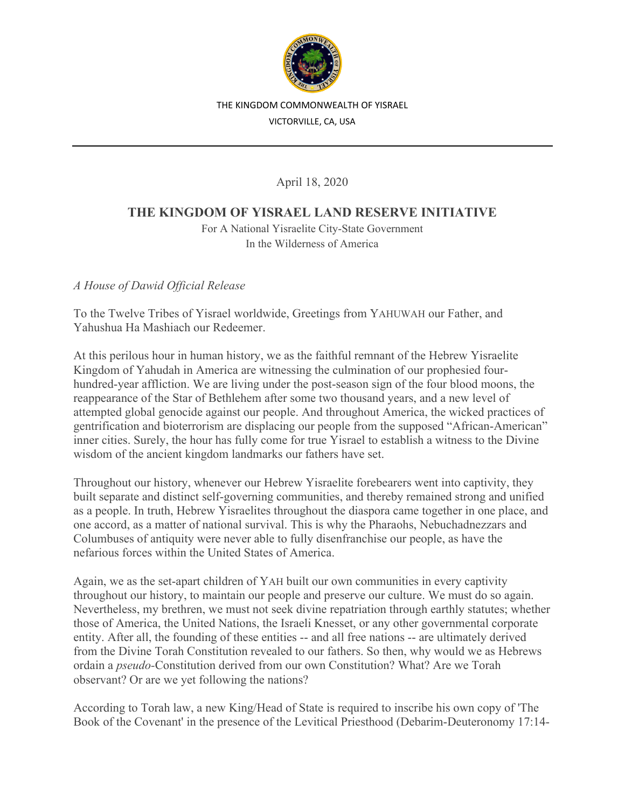

#### THE KINGDOM COMMONWEALTH OF YISRAEL

VICTORVILLE, CA, USA

April 18, 2020

# **THE KINGDOM OF YISRAEL LAND RESERVE INITIATIVE**

For A National Yisraelite City-State Government In the Wilderness of America

*A House of Dawid Official Release*

To the Twelve Tribes of Yisrael worldwide, Greetings from YAHUWAH our Father, and Yahushua Ha Mashiach our Redeemer.

At this perilous hour in human history, we as the faithful remnant of the Hebrew Yisraelite Kingdom of Yahudah in America are witnessing the culmination of our prophesied fourhundred-year affliction. We are living under the post-season sign of the four blood moons, the reappearance of the Star of Bethlehem after some two thousand years, and a new level of attempted global genocide against our people. And throughout America, the wicked practices of gentrification and bioterrorism are displacing our people from the supposed "African-American" inner cities. Surely, the hour has fully come for true Yisrael to establish a witness to the Divine wisdom of the ancient kingdom landmarks our fathers have set.

Throughout our history, whenever our Hebrew Yisraelite forebearers went into captivity, they built separate and distinct self-governing communities, and thereby remained strong and unified as a people. In truth, Hebrew Yisraelites throughout the diaspora came together in one place, and one accord, as a matter of national survival. This is why the Pharaohs, Nebuchadnezzars and Columbuses of antiquity were never able to fully disenfranchise our people, as have the nefarious forces within the United States of America.

Again, we as the set-apart children of YAH built our own communities in every captivity throughout our history, to maintain our people and preserve our culture. We must do so again. Nevertheless, my brethren, we must not seek divine repatriation through earthly statutes; whether those of America, the United Nations, the Israeli Knesset, or any other governmental corporate entity. After all, the founding of these entities -- and all free nations -- are ultimately derived from the Divine Torah Constitution revealed to our fathers. So then, why would we as Hebrews ordain a *pseudo-*Constitution derived from our own Constitution? What? Are we Torah observant? Or are we yet following the nations?

According to Torah law, a new King/Head of State is required to inscribe his own copy of 'The Book of the Covenant' in the presence of the Levitical Priesthood (Debarim-Deuteronomy 17:14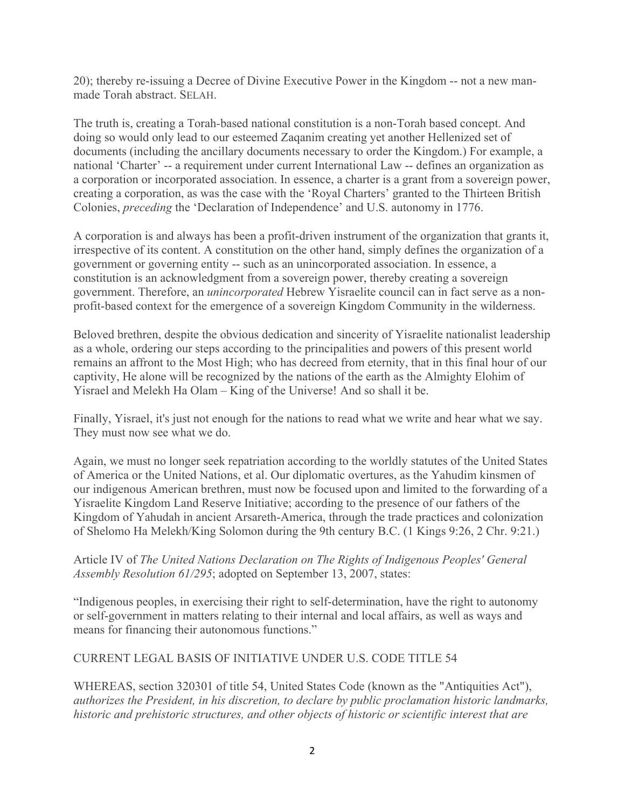20); thereby re-issuing a Decree of Divine Executive Power in the Kingdom -- not a new manmade Torah abstract. SELAH.

The truth is, creating a Torah*-*based national constitution is a non-Torah based concept. And doing so would only lead to our esteemed Zaqanim creating yet another Hellenized set of documents (including the ancillary documents necessary to order the Kingdom.) For example, a national 'Charter' -- a requirement under current International Law -- defines an organization as a corporation or incorporated association. In essence, a charter is a grant from a sovereign power, creating a corporation, as was the case with the 'Royal Charters' granted to the Thirteen British Colonies, *preceding* the 'Declaration of Independence' and U.S. autonomy in 1776.

A corporation is and always has been a profit-driven instrument of the organization that grants it, irrespective of its content. A constitution on the other hand, simply defines the organization of a government or governing entity -- such as an unincorporated association. In essence, a constitution is an acknowledgment from a sovereign power, thereby creating a sovereign government. Therefore, an *unincorporated* Hebrew Yisraelite council can in fact serve as a nonprofit-based context for the emergence of a sovereign Kingdom Community in the wilderness.

Beloved brethren, despite the obvious dedication and sincerity of Yisraelite nationalist leadership as a whole, ordering our steps according to the principalities and powers of this present world remains an affront to the Most High; who has decreed from eternity, that in this final hour of our captivity, He alone will be recognized by the nations of the earth as the Almighty Elohim of Yisrael and Melekh Ha Olam – King of the Universe! And so shall it be.

Finally, Yisrael, it's just not enough for the nations to read what we write and hear what we say. They must now see what we do.

Again, we must no longer seek repatriation according to the worldly statutes of the United States of America or the United Nations, et al. Our diplomatic overtures, as the Yahudim kinsmen of our indigenous American brethren, must now be focused upon and limited to the forwarding of a Yisraelite Kingdom Land Reserve Initiative; according to the presence of our fathers of the Kingdom of Yahudah in ancient Arsareth-America, through the trade practices and colonization of Shelomo Ha Melekh/King Solomon during the 9th century B.C. (1 Kings 9:26, 2 Chr. 9:21.)

### Article IV of *The United Nations Declaration on The Rights of Indigenous Peoples' General Assembly Resolution 61/295*; adopted on September 13, 2007, states:

"Indigenous peoples, in exercising their right to self-determination, have the right to autonomy or self-government in matters relating to their internal and local affairs, as well as ways and means for financing their autonomous functions."

### CURRENT LEGAL BASIS OF INITIATIVE UNDER U.S. CODE TITLE 54

WHEREAS, section 320301 of title 54, United States Code (known as the "Antiquities Act"), *authorizes the President, in his discretion, to declare by public proclamation historic landmarks, historic and prehistoric structures, and other objects of historic or scientific interest that are*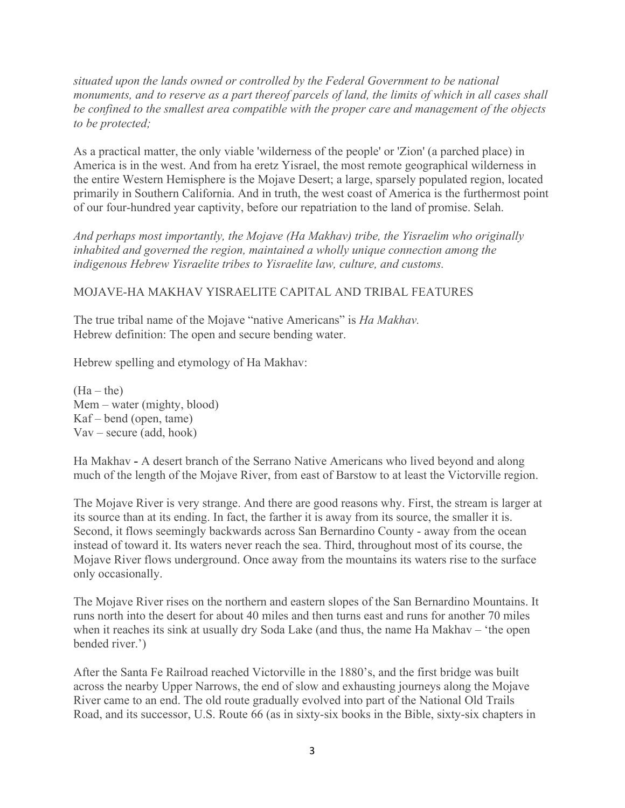*situated upon the lands owned or controlled by the Federal Government to be national monuments, and to reserve as a part thereof parcels of land, the limits of which in all cases shall be confined to the smallest area compatible with the proper care and management of the objects to be protected;*

As a practical matter, the only viable 'wilderness of the people' or 'Zion' (a parched place) in America is in the west. And from ha eretz Yisrael, the most remote geographical wilderness in the entire Western Hemisphere is the Mojave Desert; a large, sparsely populated region, located primarily in Southern California. And in truth, the west coast of America is the furthermost point of our four-hundred year captivity, before our repatriation to the land of promise. Selah.

*And perhaps most importantly, the Mojave (Ha Makhav) tribe, the Yisraelim who originally inhabited and governed the region, maintained a wholly unique connection among the indigenous Hebrew Yisraelite tribes to Yisraelite law, culture, and customs.*

### MOJAVE-HA MAKHAV YISRAELITE CAPITAL AND TRIBAL FEATURES

The true tribal name of the Mojave "native Americans" is *Ha Makhav.* Hebrew definition: The open and secure bending water.

Hebrew spelling and etymology of Ha Makhav:

 $(Ha - the)$ Mem – water (mighty, blood) Kaf – bend (open, tame) Vav – secure (add, hook)

Ha Makhav **-** A desert branch of the Serrano Native Americans who lived beyond and along much of the length of the Mojave River, from east of Barstow to at least the Victorville region.

The Mojave River is very strange. And there are good reasons why. First, the stream is larger at its source than at its ending. In fact, the farther it is away from its source, the smaller it is. Second, it flows seemingly backwards across San Bernardino County - away from the ocean instead of toward it. Its waters never reach the sea. Third, throughout most of its course, the Mojave River flows underground. Once away from the mountains its waters rise to the surface only occasionally.

The Mojave River rises on the northern and eastern slopes of the San Bernardino Mountains. It runs north into the desert for about 40 miles and then turns east and runs for another 70 miles when it reaches its sink at usually dry Soda Lake (and thus, the name Ha Makhav – 'the open bended river.')

After the Santa Fe Railroad reached Victorville in the 1880's, and the first bridge was built across the nearby Upper Narrows, the end of slow and exhausting journeys along the Mojave River came to an end. The old route gradually evolved into part of the National Old Trails Road, and its successor, U.S. Route 66 (as in sixty-six books in the Bible, sixty-six chapters in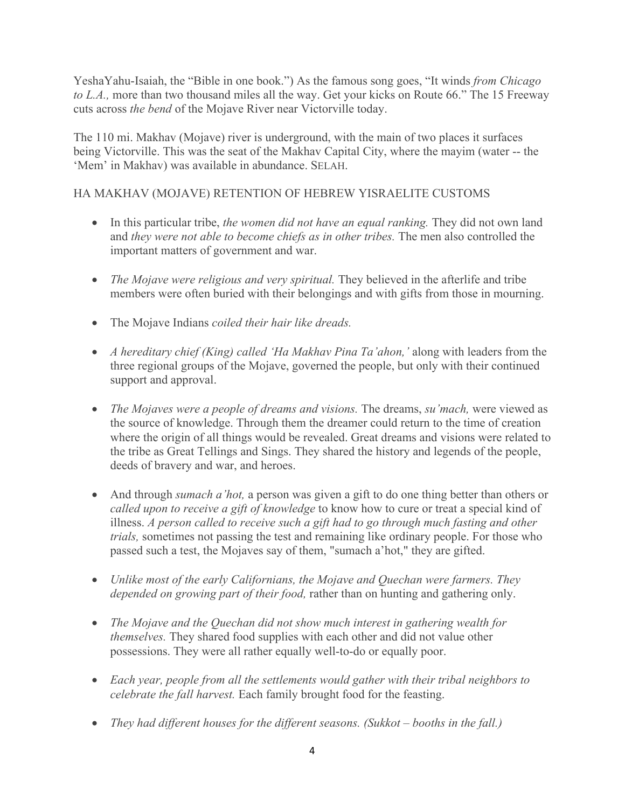YeshaYahu-Isaiah, the "Bible in one book.") As the famous song goes, "It winds *from Chicago to L.A.,* more than two thousand miles all the way. Get your kicks on Route 66." The 15 Freeway cuts across *the bend* of the Mojave River near Victorville today.

The 110 mi. Makhav (Mojave) river is underground, with the main of two places it surfaces being Victorville. This was the seat of the Makhav Capital City, where the mayim (water -- the 'Mem' in Makhav) was available in abundance. SELAH.

# HA MAKHAV (MOJAVE) RETENTION OF HEBREW YISRAELITE CUSTOMS

- In this particular tribe, *the women did not have an equal ranking.* They did not own land and *they were not able to become chiefs as in other tribes.* The men also controlled the important matters of government and war.
- *The Mojave were religious and very spiritual.* They believed in the afterlife and tribe members were often buried with their belongings and with gifts from those in mourning.
- The Mojave Indians *coiled their hair like dreads.*
- *A hereditary chief (King) called 'Ha Makhav Pina Ta'ahon,'* along with leaders from the three regional groups of the Mojave, governed the people, but only with their continued support and approval.
- *The Mojaves were a people of dreams and visions.* The dreams, *su'mach,* were viewed as the source of knowledge. Through them the dreamer could return to the time of creation where the origin of all things would be revealed. Great dreams and visions were related to the tribe as Great Tellings and Sings. They shared the history and legends of the people, deeds of bravery and war, and heroes.
- And through *sumach a'hot*, a person was given a gift to do one thing better than others or *called upon to receive a gift of knowledge* to know how to cure or treat a special kind of illness. *A person called to receive such a gift had to go through much fasting and other trials,* sometimes not passing the test and remaining like ordinary people. For those who passed such a test, the Mojaves say of them, "sumach a'hot," they are gifted.
- *Unlike most of the early Californians, the Mojave and Quechan were farmers. They depended on growing part of their food,* rather than on hunting and gathering only.
- *The Mojave and the Quechan did not show much interest in gathering wealth for themselves.* They shared food supplies with each other and did not value other possessions. They were all rather equally well-to-do or equally poor.
- *Each year, people from all the settlements would gather with their tribal neighbors to celebrate the fall harvest.* Each family brought food for the feasting.
- *They had different houses for the different seasons. (Sukkot – booths in the fall.)*